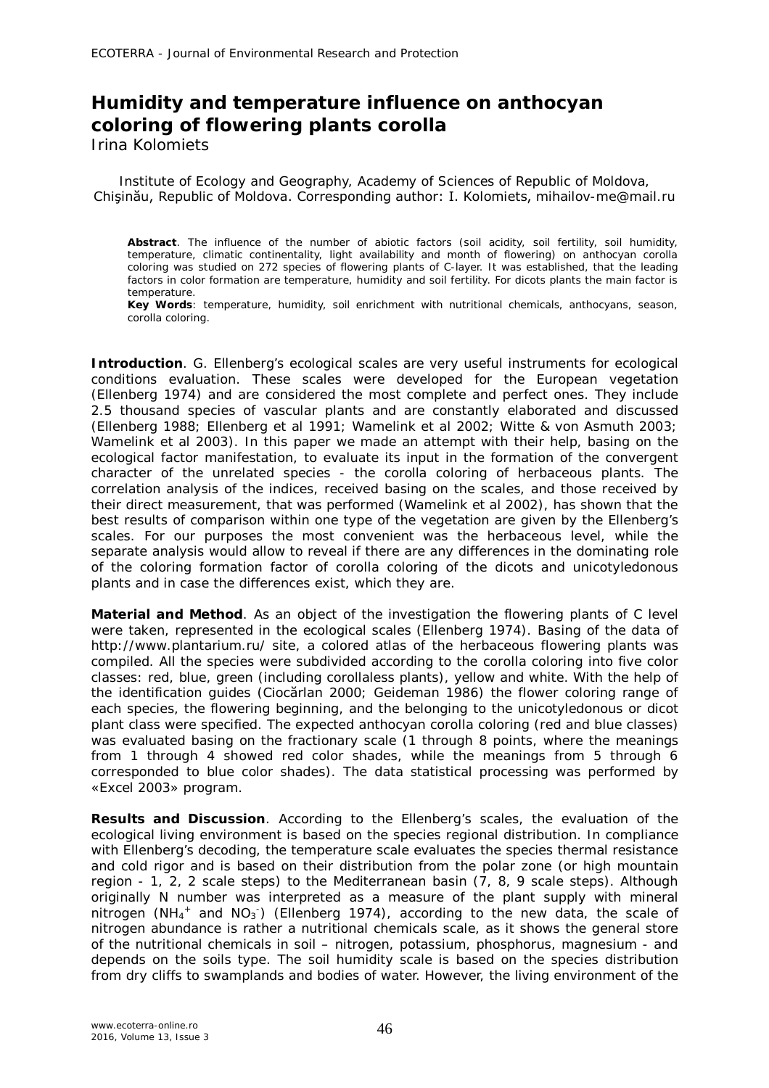## **Humidity and temperature influence on anthocyan coloring of flowering plants corolla**

Irina Kolomiets

Institute of Ecology and Geography, Academy of Sciences of Republic of Moldova, Chişinău, Republic of Moldova. Corresponding author: I. Kolomiets, mihailov-me@mail.ru

**Abstract**. The influence of the number of abiotic factors (soil acidity, soil fertility, soil humidity, temperature, climatic continentality, light availability and month of flowering) on anthocyan corolla coloring was studied on 272 species of flowering plants of C-layer. It was established, that the leading factors in color formation are temperature, humidity and soil fertility. For dicots plants the main factor is temperature.

**Key Words**: temperature, humidity, soil enrichment with nutritional chemicals, anthocyans, season, corolla coloring.

**Introduction**. G. Ellenberg's ecological scales are very useful instruments for ecological conditions evaluation. These scales were developed for the European vegetation (Ellenberg 1974) and are considered the most complete and perfect ones. They include 2.5 thousand species of vascular plants and are constantly elaborated and discussed (Ellenberg 1988; Ellenberg et al 1991; Wamelink et al 2002; Witte & von Asmuth 2003; Wamelink et al 2003). In this paper we made an attempt with their help, basing on the ecological factor manifestation, to evaluate its input in the formation of the convergent character of the unrelated species - the corolla coloring of herbaceous plants. The correlation analysis of the indices, received basing on the scales, and those received by their direct measurement, that was performed (Wamelink et al 2002), has shown that the best results of comparison within one type of the vegetation are given by the Ellenberg's scales. For our purposes the most convenient was the herbaceous level, while the separate analysis would allow to reveal if there are any differences in the dominating role of the coloring formation factor of corolla coloring of the dicots and unicotyledonous plants and in case the differences exist, which they are.

**Material and Method**. As an object of the investigation the flowering plants of C level were taken, represented in the ecological scales (Ellenberg 1974). Basing of the data of http://www.plantarium.ru/ site, a colored atlas of the herbaceous flowering plants was compiled. All the species were subdivided according to the corolla coloring into five color classes: red, blue, green (including corollaless plants), yellow and white. With the help of the identification guides (Ciocărlan 2000; Geideman 1986) the flower coloring range of each species, the flowering beginning, and the belonging to the unicotyledonous or dicot plant class were specified. The expected anthocyan corolla coloring (red and blue classes) was evaluated basing on the fractionary scale (1 through 8 points, where the meanings from 1 through 4 showed red color shades, while the meanings from 5 through 6 corresponded to blue color shades). The data statistical processing was performed by «Excel 2003» program.

**Results and Discussion**. According to the Ellenberg's scales, the evaluation of the ecological living environment is based on the species regional distribution. In compliance with Ellenberg's decoding, the temperature scale evaluates the species thermal resistance and cold rigor and is based on their distribution from the polar zone (or high mountain region - 1, 2, 2 scale steps) to the Mediterranean basin (7, 8, 9 scale steps). Although originally N number was interpreted as a measure of the plant supply with mineral nitrogen (NH<sub>4</sub><sup>+</sup> and NO<sub>3</sub><sup>-</sup>) (Ellenberg 1974), according to the new data, the scale of nitrogen abundance is rather a nutritional chemicals scale, as it shows the general store of the nutritional chemicals in soil – nitrogen, potassium, phosphorus, magnesium - and depends on the soils type. The soil humidity scale is based on the species distribution from dry cliffs to swamplands and bodies of water. However, the living environment of the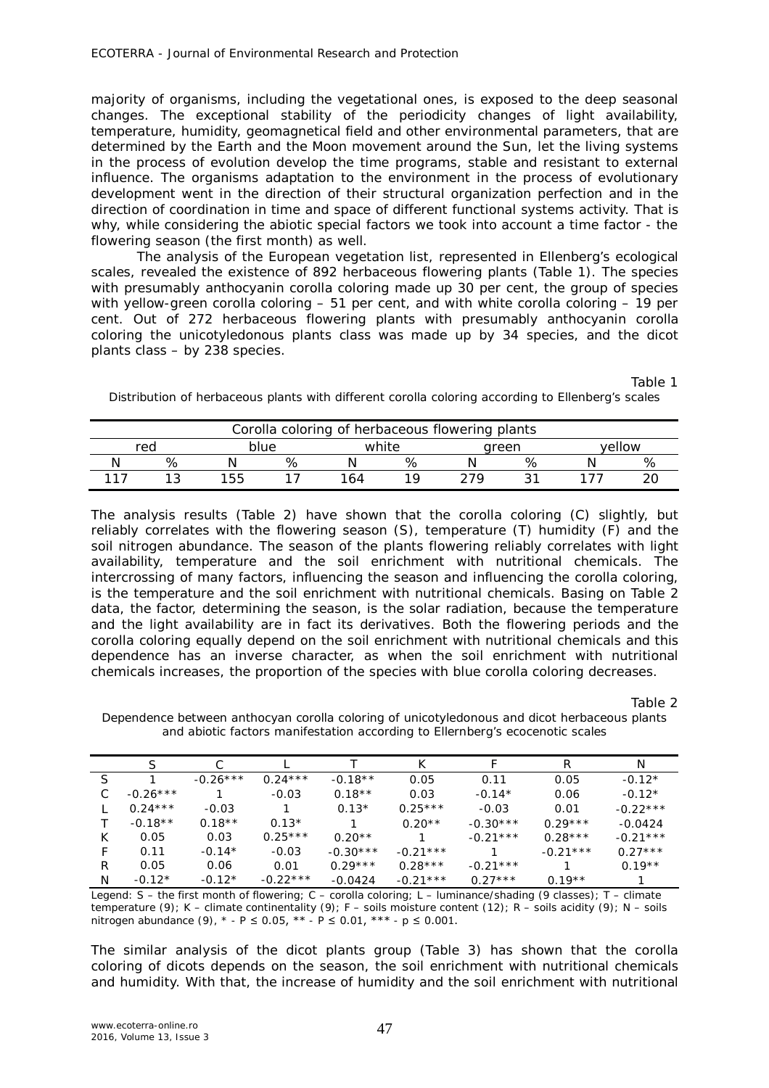majority of organisms, including the vegetational ones, is exposed to the deep seasonal changes. The exceptional stability of the periodicity changes of light availability, temperature, humidity, geomagnetical field and other environmental parameters, that are determined by the Earth and the Moon movement around the Sun, let the living systems in the process of evolution develop the time programs, stable and resistant to external influence. The organisms adaptation to the environment in the process of evolutionary development went in the direction of their structural organization perfection and in the direction of coordination in time and space of different functional systems activity. That is why, while considering the abiotic special factors we took into account a time factor - the flowering season (the first month) as well.

The analysis of the European vegetation list, represented in Ellenberg's ecological scales, revealed the existence of 892 herbaceous flowering plants (Table 1). The species with presumably anthocyanin corolla coloring made up 30 per cent, the group of species with yellow-green corolla coloring – 51 per cent, and with white corolla coloring – 19 per cent. Out of 272 herbaceous flowering plants with presumably anthocyanin corolla coloring the unicotyledonous plants class was made up by 34 species, and the dicot plants class – by 238 species.

Table 1

Distribution of herbaceous plants with different corolla coloring according to Ellenberg's scales

| Corolla coloring of herbaceous flowering plants |   |      |   |     |       |     |       |  |        |  |
|-------------------------------------------------|---|------|---|-----|-------|-----|-------|--|--------|--|
| rea                                             |   | blue |   |     | white |     | green |  | vellow |  |
|                                                 | % |      | % |     |       |     |       |  |        |  |
|                                                 |   | 155  |   | -64 |       | 279 |       |  |        |  |

The analysis results (Table 2) have shown that the corolla coloring (С) slightly, but reliably correlates with the flowering season (S), temperature (T) humidity (F) and the soil nitrogen abundance. The season of the plants flowering reliably correlates with light availability, temperature and the soil enrichment with nutritional chemicals. The intercrossing of many factors, influencing the season and influencing the corolla coloring, is the temperature and the soil enrichment with nutritional chemicals. Basing on Table 2 data, the factor, determining the season, is the solar radiation, because the temperature and the light availability are in fact its derivatives. Both the flowering periods and the corolla coloring equally depend on the soil enrichment with nutritional chemicals and this dependence has an inverse character, as when the soil enrichment with nutritional chemicals increases, the proportion of the species with blue corolla coloring decreases.

Table 2

|    |            |            |            |            | К          |            |            | Ν          |
|----|------------|------------|------------|------------|------------|------------|------------|------------|
| S. |            | $-0.26***$ | $0.24***$  | $-0.18**$  | 0.05       | 0.11       | 0.05       | $-0.12*$   |
| C. | $-0.26***$ |            | $-0.03$    | $0.18**$   | 0.03       | $-0.14*$   | 0.06       | $-0.12*$   |
|    | $0.24***$  | $-0.03$    |            | $0.13*$    | $0.25***$  | $-0.03$    | 0.01       | $-0.22***$ |
|    | $-0.18**$  | $0.18**$   | $0.13*$    |            | $0.20**$   | $-0.30***$ | $0.29***$  | $-0.0424$  |
| K  | 0.05       | 0.03       | $0.25***$  | $0.20**$   |            | $-0.21***$ | $0.28***$  | $-0.21***$ |
| F  | 0.11       | $-0.14*$   | $-0.03$    | $-0.30***$ | $-0.21***$ |            | $-0.21***$ | $0.27***$  |
| R  | 0.05       | 0.06       | 0.01       | $0.29***$  | $0.28***$  | $-0.21***$ |            | $0.19**$   |
| N  | $-0.12*$   | $-0.12*$   | $-0.22***$ | $-0.0424$  | $-0.21***$ | $0.27***$  | $0.19**$   |            |

Dependence between anthocyan corolla coloring of unicotyledonous and dicot herbaceous plants and abiotic factors manifestation according to Ellernberg's ecocenotic scales

Legend: S – the first month of flowering; C – corolla coloring; L – luminance/shading (9 classes); T – climate temperature (9); K – climate continentality (9); F – soils moisture content (12); R – soils acidity (9); N – soils nitrogen abundance (9),  $*$  - P ≤ 0.05,  $**$  - P ≤ 0.01,  $***$  - p ≤ 0.001.

The similar analysis of the dicot plants group (Table 3) has shown that the corolla coloring of dicots depends on the season, the soil enrichment with nutritional chemicals and humidity. With that, the increase of humidity and the soil enrichment with nutritional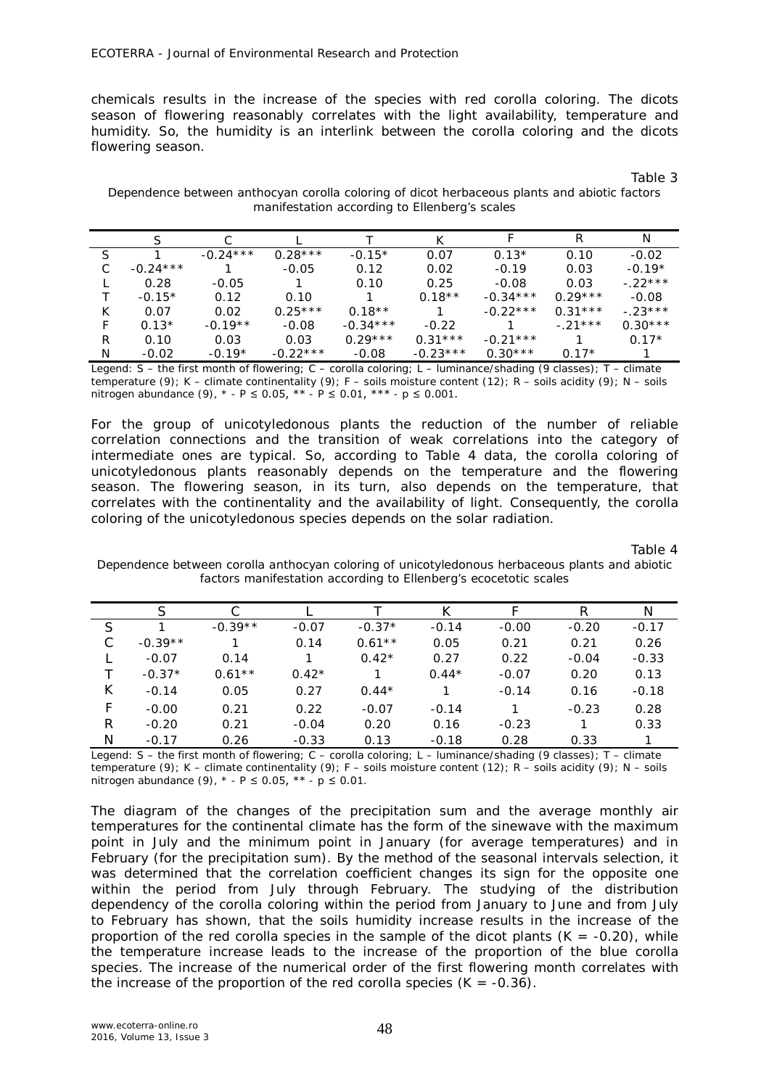chemicals results in the increase of the species with red corolla coloring. The dicots season of flowering reasonably correlates with the light availability, temperature and humidity. So, the humidity is an interlink between the corolla coloring and the dicots flowering season.

Dependence between anthocyan corolla coloring of dicot herbaceous plants and abiotic factors manifestation according to Ellenberg's scales

|   |            |            |            |            | К          |            | R         | N         |
|---|------------|------------|------------|------------|------------|------------|-----------|-----------|
|   |            | $-0.24***$ | $0.28***$  | $-0.15*$   | 0.07       | $0.13*$    | 0.10      | $-0.02$   |
| C | $-0.24***$ |            | $-0.05$    | 0.12       | 0.02       | $-0.19$    | 0.03      | $-0.19*$  |
|   | 0.28       | $-0.05$    |            | 0.10       | 0.25       | $-0.08$    | 0.03      | $-22***$  |
|   | $-0.15*$   | 0.12       | 0.10       |            | $0.18**$   | $-0.34***$ | $0.29***$ | $-0.08$   |
| К | 0.07       | 0.02       | $0.25***$  | $0.18**$   | 1          | $-0.22***$ | $0.31***$ | $-.23***$ |
| F | $0.13*$    | $-0.19**$  | $-0.08$    | $-0.34***$ | $-0.22$    |            | $-.21***$ | $0.30***$ |
| R | 0.10       | 0.03       | 0.03       | $0.29***$  | $0.31***$  | $-0.21***$ |           | $0.17*$   |
| N | $-0.02$    | $-0.19*$   | $-0.22***$ | $-0.08$    | $-0.23***$ | $0.30***$  | $0.17*$   |           |

Legend: S – the first month of flowering; C – corolla coloring; L – luminance/shading (9 classes); T – climate temperature (9); K – climate continentality (9); F – soils moisture content (12); R – soils acidity (9); N – soils nitrogen abundance (9),  $* - P \le 0.05$ ,  $** - P \le 0.01$ ,  $*** - p \le 0.001$ .

For the group of unicotyledonous plants the reduction of the number of reliable correlation connections and the transition of weak correlations into the category of intermediate ones are typical. So, according to Table 4 data, the corolla coloring of unicotyledonous plants reasonably depends on the temperature and the flowering season. The flowering season, in its turn, also depends on the temperature, that correlates with the continentality and the availability of light. Consequently, the corolla coloring of the unicotyledonous species depends on the solar radiation.

Table 4

Dependence between corolla anthocyan coloring of unicotyledonous herbaceous plants and abiotic factors manifestation according to Ellenberg's ecocetotic scales

|   | S         | С         |         |          |         |         | R       | N       |
|---|-----------|-----------|---------|----------|---------|---------|---------|---------|
| S |           | $-0.39**$ | $-0.07$ | $-0.37*$ | $-0.14$ | $-0.00$ | $-0.20$ | $-0.17$ |
|   | $-0.39**$ |           | 0.14    | $0.61**$ | 0.05    | 0.21    | 0.21    | 0.26    |
|   | $-0.07$   | 0.14      |         | $0.42*$  | 0.27    | 0.22    | $-0.04$ | $-0.33$ |
|   | $-0.37*$  | $0.61**$  | $0.42*$ |          | $0.44*$ | $-0.07$ | 0.20    | 0.13    |
| К | $-0.14$   | 0.05      | 0.27    | $0.44*$  |         | $-0.14$ | 0.16    | $-0.18$ |
| F | $-0.00$   | 0.21      | 0.22    | $-0.07$  | $-0.14$ |         | $-0.23$ | 0.28    |
| R | $-0.20$   | 0.21      | $-0.04$ | 0.20     | 0.16    | $-0.23$ |         | 0.33    |
| N | $-0.17$   | 0.26      | $-0.33$ | 0.13     | $-0.18$ | 0.28    | 0.33    |         |

Legend: S – the first month of flowering; C – corolla coloring; L – luminance/shading (9 classes); T – climate temperature (9); K – climate continentality (9); F – soils moisture content (12); R – soils acidity (9); N – soils nitrogen abundance (9),  $*$  - P ≤ 0.05,  $**$  - p ≤ 0.01.

The diagram of the changes of the precipitation sum and the average monthly air temperatures for the continental climate has the form of the sinewave with the maximum point in July and the minimum point in January (for average temperatures) and in February (for the precipitation sum). By the method of the seasonal intervals selection, it was determined that the correlation coefficient changes its sign for the opposite one within the period from July through February. The studying of the distribution dependency of the corolla coloring within the period from January to June and from July to February has shown, that the soils humidity increase results in the increase of the proportion of the red corolla species in the sample of the dicot plants  $(K = -0.20)$ , while the temperature increase leads to the increase of the proportion of the blue corolla species. The increase of the numerical order of the first flowering month correlates with the increase of the proportion of the red corolla species  $(K = -0.36)$ .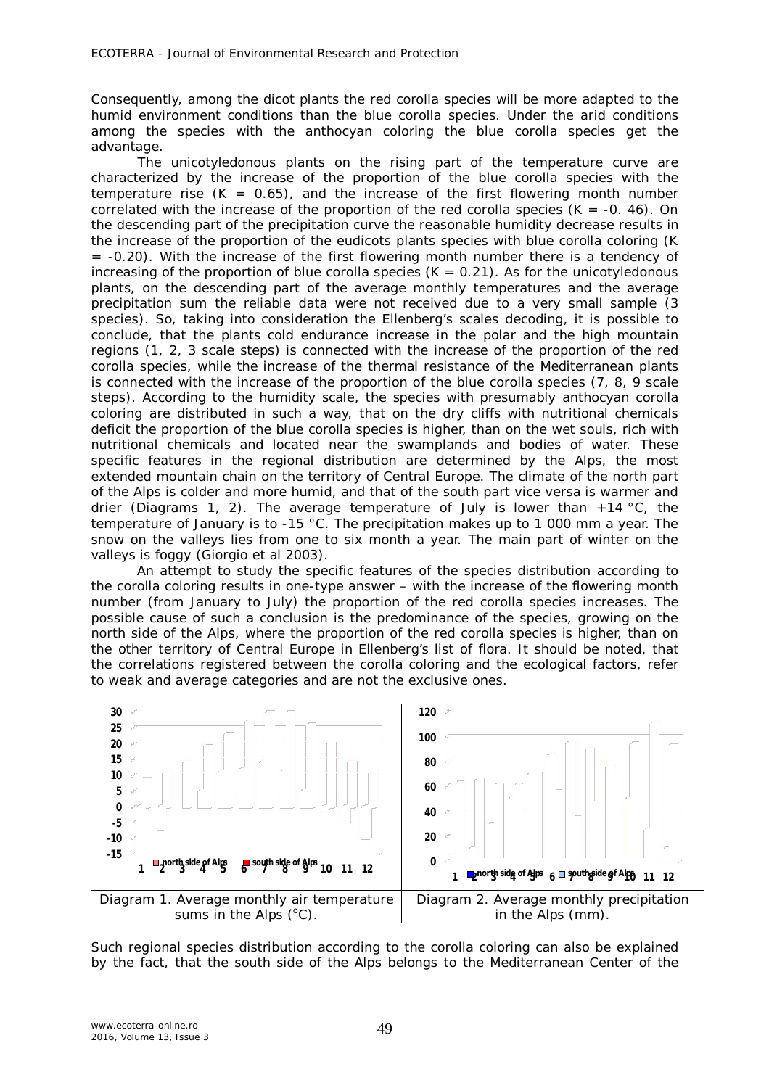Consequently, among the dicot plants the red corolla species will be more adapted to the humid environment conditions than the blue corolla species. Under the arid conditions among the species with the anthocyan coloring the blue corolla species get the advantage.

The unicotyledonous plants on the rising part of the temperature curve are characterized by the increase of the proportion of the blue corolla species with the temperature rise  $(K = 0.65)$ , and the increase of the first flowering month number correlated with the increase of the proportion of the red corolla species  $(K = -0. 46)$ . On the descending part of the precipitation curve the reasonable humidity decrease results in the increase of the proportion of the eudicots plants species with blue corolla coloring (K  $= -0.20$ ). With the increase of the first flowering month number there is a tendency of increasing of the proportion of blue corolla species  $(K = 0.21)$ . As for the unicotyledonous plants, on the descending part of the average monthly temperatures and the average precipitation sum the reliable data were not received due to a very small sample (3 species). So, taking into consideration the Ellenberg's scales decoding, it is possible to conclude, that the plants cold endurance increase in the polar and the high mountain regions (1, 2, 3 scale steps) is connected with the increase of the proportion of the red corolla species, while the increase of the thermal resistance of the Mediterranean plants is connected with the increase of the proportion of the blue corolla species (7, 8, 9 scale steps). According to the humidity scale, the species with presumably anthocyan corolla coloring are distributed in such a way, that on the dry cliffs with nutritional chemicals deficit the proportion of the blue corolla species is higher, than on the wet souls, rich with nutritional chemicals and located near the swamplands and bodies of water. These specific features in the regional distribution are determined by the Alps, the most extended mountain chain on the territory of Central Europe. The climate of the north part of the Alps is colder and more humid, and that of the south part vice versa is warmer and drier (Diagrams 1, 2). The average temperature of July is lower than  $+14 \text{ }^{\circ}$ C, the temperature of January is to -15 °C. The precipitation makes up to 1 000 mm a year. The snow on the valleys lies from one to six month a year. The main part of winter on the valleys is foggy (Giorgio et al 2003).

An attempt to study the specific features of the species distribution according to the corolla coloring results in one-type answer – with the increase of the flowering month number (from January to July) the proportion of the red corolla species increases. The possible cause of such a conclusion is the predominance of the species, growing on the north side of the Alps, where the proportion of the red corolla species is higher, than on the other territory of Central Europe in Ellenberg's list of flora. It should be noted, that the correlations registered between the corolla coloring and the ecological factors, refer to weak and average categories and are not the exclusive ones.



Such regional species distribution according to the corolla coloring can also be explained by the fact, that the south side of the Alps belongs to the Mediterranean Center of the